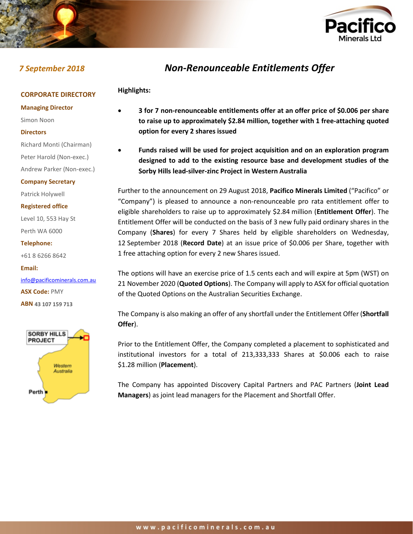

**Highlights:**



# *7 September 2018 Non-Renounceable Entitlements Offer*

# **CORPORATE DIRECTORY**

**Managing Director**

Simon Noon

#### **Directors**

Richard Monti (Chairman) Peter Harold (Non-exec.)

Andrew Parker (Non-exec.)

**Company Secretary**

Patrick Holywell

**Registered office**

Level 10, 553 Hay St Perth WA 6000

**Telephone:**

+61 8 6266 8642

**Email:** [info@pacificominerals.com.au](mailto:info@pacificominerals.com.au) **ASX Code:** PMY **ABN 43 107 159 713**



- **3 for 7 non-renounceable entitlements offer at an offer price of \$0.006 per share to raise up to approximately \$2.84 million, together with 1 free-attaching quoted option for every 2 shares issued**
- **Funds raised will be used for project acquisition and on an exploration program designed to add to the existing resource base and development studies of the Sorby Hills lead-silver-zinc Project in Western Australia**

Further to the announcement on 29 August 2018, **Pacifico Minerals Limited** ("Pacifico" or "Company") is pleased to announce a non-renounceable pro rata entitlement offer to eligible shareholders to raise up to approximately \$2.84 million (**Entitlement Offer**). The Entitlement Offer will be conducted on the basis of 3 new fully paid ordinary shares in the Company (**Shares**) for every 7 Shares held by eligible shareholders on Wednesday, 12 September 2018 (**Record Date**) at an issue price of \$0.006 per Share, together with 1 free attaching option for every 2 new Shares issued.

The options will have an exercise price of 1.5 cents each and will expire at 5pm (WST) on 21 November 2020 (**Quoted Options**). The Company will apply to ASX for official quotation of the Quoted Options on the Australian Securities Exchange.

The Company is also making an offer of any shortfall under the Entitlement Offer (**Shortfall Offer**).

Prior to the Entitlement Offer, the Company completed a placement to sophisticated and institutional investors for a total of 213,333,333 Shares at \$0.006 each to raise \$1.28 million (**Placement**).

The Company has appointed Discovery Capital Partners and PAC Partners (**Joint Lead Managers**) as joint lead managers for the Placement and Shortfall Offer.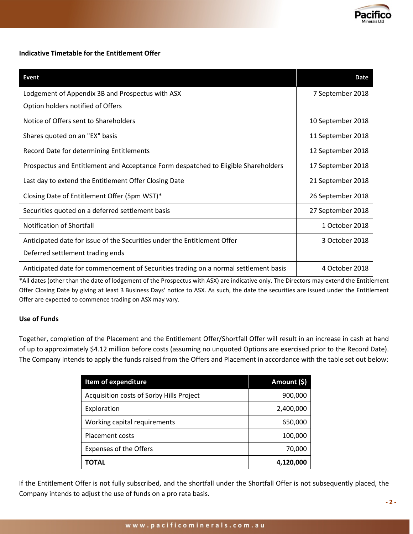

# **Indicative Timetable for the Entitlement Offer**

| Event                                                                                | <b>Date</b>       |
|--------------------------------------------------------------------------------------|-------------------|
| Lodgement of Appendix 3B and Prospectus with ASX                                     | 7 September 2018  |
| Option holders notified of Offers                                                    |                   |
| Notice of Offers sent to Shareholders                                                | 10 September 2018 |
| Shares quoted on an "EX" basis                                                       | 11 September 2018 |
| Record Date for determining Entitlements                                             | 12 September 2018 |
| Prospectus and Entitlement and Acceptance Form despatched to Eligible Shareholders   | 17 September 2018 |
| Last day to extend the Entitlement Offer Closing Date                                | 21 September 2018 |
| Closing Date of Entitlement Offer (5pm WST)*                                         | 26 September 2018 |
| Securities quoted on a deferred settlement basis                                     | 27 September 2018 |
| Notification of Shortfall                                                            | 1 October 2018    |
| Anticipated date for issue of the Securities under the Entitlement Offer             | 3 October 2018    |
| Deferred settlement trading ends                                                     |                   |
| Anticipated date for commencement of Securities trading on a normal settlement basis | 4 October 2018    |

\*All dates (other than the date of lodgement of the Prospectus with ASX) are indicative only. The Directors may extend the Entitlement Offer Closing Date by giving at least 3 Business Days' notice to ASX. As such, the date the securities are issued under the Entitlement Offer are expected to commence trading on ASX may vary.

# **Use of Funds**

Together, completion of the Placement and the Entitlement Offer/Shortfall Offer will result in an increase in cash at hand of up to approximately \$4.12 million before costs (assuming no unquoted Options are exercised prior to the Record Date). The Company intends to apply the funds raised from the Offers and Placement in accordance with the table set out below:

| Item of expenditure                      | Amount (\$) |
|------------------------------------------|-------------|
| Acquisition costs of Sorby Hills Project | 900,000     |
| Exploration                              | 2,400,000   |
| Working capital requirements             | 650,000     |
| Placement costs                          | 100,000     |
| <b>Expenses of the Offers</b>            | 70,000      |
| ΤΟΤΑL                                    | 4,120,000   |

If the Entitlement Offer is not fully subscribed, and the shortfall under the Shortfall Offer is not subsequently placed, the Company intends to adjust the use of funds on a pro rata basis.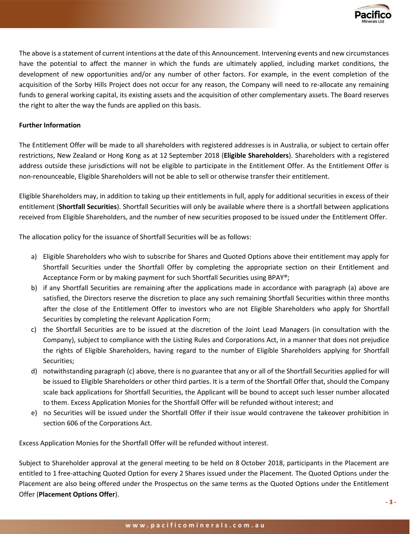

The above is a statement of current intentions at the date of this Announcement. Intervening events and new circumstances have the potential to affect the manner in which the funds are ultimately applied, including market conditions, the development of new opportunities and/or any number of other factors. For example, in the event completion of the acquisition of the Sorby Hills Project does not occur for any reason, the Company will need to re-allocate any remaining funds to general working capital, its existing assets and the acquisition of other complementary assets. The Board reserves the right to alter the way the funds are applied on this basis.

### **Further Information**

The Entitlement Offer will be made to all shareholders with registered addresses is in Australia, or subject to certain offer restrictions, New Zealand or Hong Kong as at 12 September 2018 (**Eligible Shareholders**). Shareholders with a registered address outside these jurisdictions will not be eligible to participate in the Entitlement Offer. As the Entitlement Offer is non-renounceable, Eligible Shareholders will not be able to sell or otherwise transfer their entitlement.

Eligible Shareholders may, in addition to taking up their entitlements in full, apply for additional securities in excess of their entitlement (**Shortfall Securities**). Shortfall Securities will only be available where there is a shortfall between applications received from Eligible Shareholders, and the number of new securities proposed to be issued under the Entitlement Offer.

The allocation policy for the issuance of Shortfall Securities will be as follows:

- a) Eligible Shareholders who wish to subscribe for Shares and Quoted Options above their entitlement may apply for Shortfall Securities under the Shortfall Offer by completing the appropriate section on their Entitlement and Acceptance Form or by making payment for such Shortfall Securities using BPAY®;
- b) if any Shortfall Securities are remaining after the applications made in accordance with paragraph (a) above are satisfied, the Directors reserve the discretion to place any such remaining Shortfall Securities within three months after the close of the Entitlement Offer to investors who are not Eligible Shareholders who apply for Shortfall Securities by completing the relevant Application Form;
- c) the Shortfall Securities are to be issued at the discretion of the Joint Lead Managers (in consultation with the Company), subject to compliance with the Listing Rules and Corporations Act, in a manner that does not prejudice the rights of Eligible Shareholders, having regard to the number of Eligible Shareholders applying for Shortfall Securities;
- d) notwithstanding paragraph (c) above, there is no guarantee that any or all of the Shortfall Securities applied for will be issued to Eligible Shareholders or other third parties. It is a term of the Shortfall Offer that, should the Company scale back applications for Shortfall Securities, the Applicant will be bound to accept such lesser number allocated to them. Excess Application Monies for the Shortfall Offer will be refunded without interest; and
- e) no Securities will be issued under the Shortfall Offer if their issue would contravene the takeover prohibition in section 606 of the Corporations Act.

Excess Application Monies for the Shortfall Offer will be refunded without interest.

Subject to Shareholder approval at the general meeting to be held on 8 October 2018, participants in the Placement are entitled to 1 free-attaching Quoted Option for every 2 Shares issued under the Placement. The Quoted Options under the Placement are also being offered under the Prospectus on the same terms as the Quoted Options under the Entitlement Offer (**Placement Options Offer**).